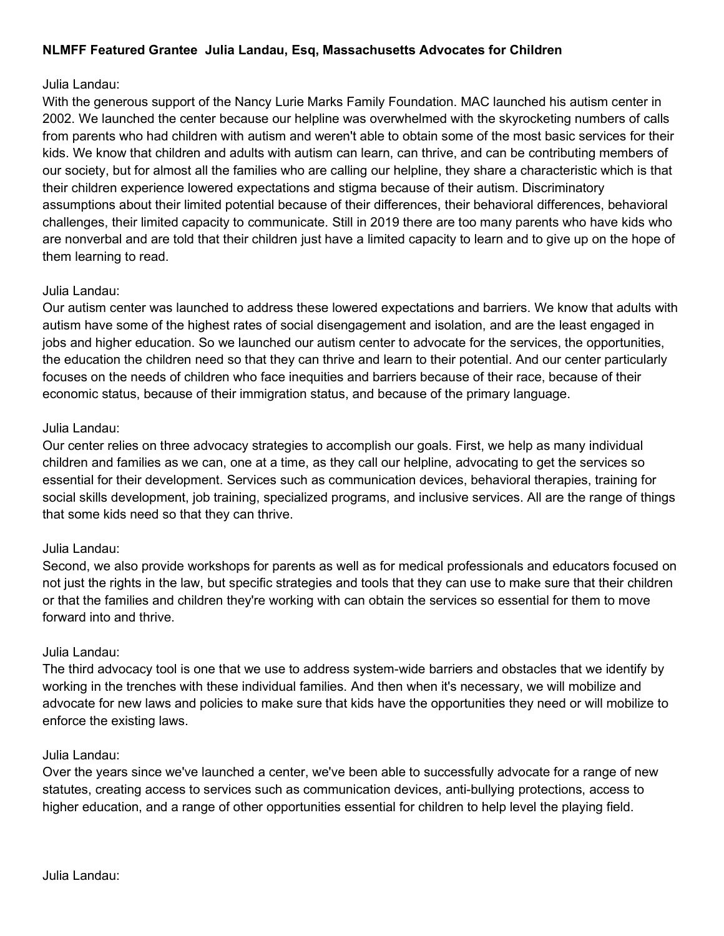# NLMFF Featured Grantee Julia Landau, Esq, Massachusetts Advocates for Children

## Julia Landau:

With the generous support of the Nancy Lurie Marks Family Foundation. MAC launched his autism center in 2002. We launched the center because our helpline was overwhelmed with the skyrocketing numbers of calls from parents who had children with autism and weren't able to obtain some of the most basic services for their kids. We know that children and adults with autism can learn, can thrive, and can be contributing members of our society, but for almost all the families who are calling our helpline, they share a characteristic which is that their children experience lowered expectations and stigma because of their autism. Discriminatory assumptions about their limited potential because of their differences, their behavioral differences, behavioral challenges, their limited capacity to communicate. Still in 2019 there are too many parents who have kids who are nonverbal and are told that their children just have a limited capacity to learn and to give up on the hope of them learning to read.

# Julia Landau:

Our autism center was launched to address these lowered expectations and barriers. We know that adults with autism have some of the highest rates of social disengagement and isolation, and are the least engaged in jobs and higher education. So we launched our autism center to advocate for the services, the opportunities, the education the children need so that they can thrive and learn to their potential. And our center particularly focuses on the needs of children who face inequities and barriers because of their race, because of their economic status, because of their immigration status, and because of the primary language.

## Julia Landau:

Our center relies on three advocacy strategies to accomplish our goals. First, we help as many individual children and families as we can, one at a time, as they call our helpline, advocating to get the services so essential for their development. Services such as communication devices, behavioral therapies, training for social skills development, job training, specialized programs, and inclusive services. All are the range of things that some kids need so that they can thrive.

#### Julia Landau:

Second, we also provide workshops for parents as well as for medical professionals and educators focused on not just the rights in the law, but specific strategies and tools that they can use to make sure that their children or that the families and children they're working with can obtain the services so essential for them to move forward into and thrive.

#### Julia Landau:

The third advocacy tool is one that we use to address system-wide barriers and obstacles that we identify by working in the trenches with these individual families. And then when it's necessary, we will mobilize and advocate for new laws and policies to make sure that kids have the opportunities they need or will mobilize to enforce the existing laws.

## Julia Landau:

Over the years since we've launched a center, we've been able to successfully advocate for a range of new statutes, creating access to services such as communication devices, anti-bullying protections, access to higher education, and a range of other opportunities essential for children to help level the playing field.